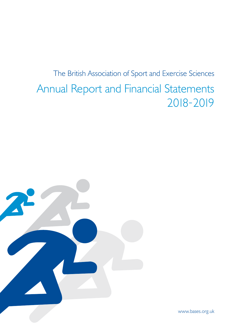# The British Association of Sport and Exercise Sciences Annual Report and Financial Statements 2018-2019



www.bases.org.uk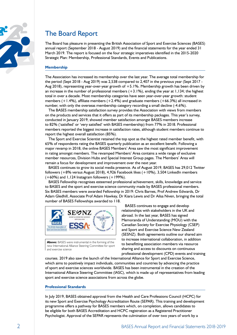

## The Board Report

The Board has pleasure in presenting the British Association of Sport and Exercise Sciences (BASES) annual report (September 2018 - August 2019) and the financial statements for the year ended 31 March 2019. The report is focused on the four strategic imperatives identified in the 2015-2020 Strategic Plan: Membership, Professional Standards, Events and Publications.

## **Membership**

The Association has increased its membership over the last year. The average total membership for the period (Sept 2018 - Aug 2019) was 2,538 compared to 2,407 in the previous year (Sept 2017 - Aug 2018), representing year-over-year growth of  $+5.1%$ . Membership growth has been driven by an increase in the number of professional members  $(+3.1%)$ , ending the year at  $1,134$ ; the highest total in over a decade. Most membership categories have seen year-over-year growth: student members  $(+1.4%)$ , affiliate members  $(+2.4%)$  and graduate members  $(+66.3%)$  all increased in number, with only the overseas membership category recording a small decline (-4.6%).

The BASES membership satisfaction survey provides the Association with views from members on the products and services that it offers as part of its membership packages. This year's survey, conducted in January 2019, showed member satisfaction amongst BASES members increase to 82% ('satisfied' or 'very satisfied' with BASES membership) from 77% in 2018. Professional members reported the biggest increase in satisfaction rates, although student members continue to report the highest overall satisfaction (85%).

The Sport and Exercise Scientist retained the top spot as the highest rated member benefit, with 65% of respondents rating the BASES quarterly publication as an excellent benefit. Following a major revamp in 2018, the online BASES Members' Area saw the most significant improvement in rating amongst members. The revamped Members' Area contains a wide range of exclusive member resources, Division Hubs and Special Interest Group pages. The Members' Area will remain a focus for development and improvement over the next year.

BASES continues to grow its social media presence. As of August 2019, BASES has 29,012 Twitter followers (+8% versus August 2018), 4,926 Facebook likes (+10%), 3,504 LinkedIn members  $(+60%)$  and 1,124 Instagram followers  $(+199%)$ .

BASES Fellowship recognises esteemed professional achievement, skills, knowledge and service to BASES and the sport and exercise science community made by BASES professional members. Six BASES members were awarded Fellowship in 2019: Chris Barnes, Prof Andrew Edwards, Dr Adam Gledhill, Associate Prof Adam Hawkey, Dr Kiara Lewis and Dr Ailsa Niven, bringing the total number of BASES Fellowships awarded to 118.



**Above:** BASES were instrumental in the forming of the new International Alliance Steering Committee for sport and exercise science

BASES continues to engage and develop relationships with stakeholders in the UK and abroad. In the last year, BASES has signed Memoranda of Understanding (MOU) with the Canadian Society for Exercise Physiology (CSEP) and Sport and Exercise Science New Zealand (SESNZ). Both agreements outline our shared aim to increase international collaboration, in addition to benefitting association members via resource sharing and access to discounts on continuous professional development (CPD) events and training

courses. 2019 also saw the launch of the International Alliance for Sport and Exercise Science, which aims to positively impact individuals, communities and countries by advancing the practice of sport and exercise sciences worldwide. BASES has been instrumental in the creation of the International Alliance Steering Committee (IASC), which is made up of representatives from leading sport and exercise science associations from across the globe.

## **Professional Standards**

In July 2019, BASES obtained approval from the Health and Care Professions Council (HCPC) for its new Sport and Exercise Psychology Accreditation Route (SEPAR). This training and development programme offers a pathway for BASES members which, on completion, allows candidates to be eligible for both BASES Accreditation and HCPC registration as a Registered Practitioner Psychologist. Approval of the SEPAR represents the culmination of over two years of work by a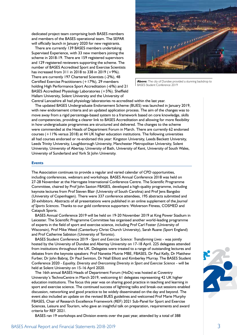dedicated project team comprising both BASES members and members of the BASES operational team. The SEPAR will officially launch in January 2020 for new registrants.

There are currently 139 BASES members undertaking Supervised Experience, with 33 new members joining the scheme in 2018-19. There are 159 registered supervisors and 129 registered reviewers supporting the scheme. The number of BASES Accredited Sport and Exercise Scientists has increased from 311 in 2018 to 338 in 2019 (+9%). There are currently 197 Chartered Scientists (-2%), 48 Certified Exercise Practitioners (+17%), 29 members holding High Performance Sport Accreditation (-6%) and 21 BASES Accredited Physiology Laboratories (+5%). Sheffield Hallam University, Solent University and the University of



**Above:** The city of Dundee provided a stunning backdrop to BASES Student Conference 2019

Central Lancashire all had physiology laboratories re-accredited within the last year.

The updated BASES Undergraduate Endorsement Scheme (BUES) was launched in January 2019, with new endorsement criteria and an updated application process. The aim of the changes was to move away from a rigid percentage-based system to a framework based on core knowledge, skills and competencies, providing a clearer link to BASES Accreditation and allowing for more flexibility in how undergraduate programmes are structured and delivered. The changes to the scheme were commended at the Heads of Department Forum in March. There are currently 62 endorsed courses (+11% versus 2018) at 44 UK higher education institutions. The following universities all had courses endorsed or re-endorsed this year: Kingston University, Leeds Beckett University, Leeds Trinity University, Loughborough University, Manchester Metropolitan University, Solent University, University of Abertay, University of Bath, University of Kent, University of South Wales, University of Sunderland and York St John University.

#### **Events**

The Association continues to provide a regular and varied calendar of CPD opportunities, including conferences, webinars and workshops. BASES Annual Conference 2018 was held on 27-28 November at the Harrogate International Conference Centre. The Scientific Programme Committee, chaired by Prof John Saxton FBASES, developed a high-quality programme, including keynote lectures from Prof Steven Blair (University of South Carolina) and Prof Jens Bangsbo (University of Copenhagen). There were 337 conference attendees, 195 abstracts submitted and 20 exhibitors. Abstracts of all presentations were published in an online supplement of the *Journal of Sports Sciences*. Thanks to our gold conference supporters: Wolverson Fitness, COSMED and Catapult Sports.

BASES Annual Conference 2019 will be held on 19-20 November 2019 at King Power Stadium in Leicester. The Scientific Programme Committee has organised another world-leading programme of experts in the field of sport and exercise science, including Prof Carl Foster (University of Wisconsin), Prof Mike Weed (Canterbury Christ Church University), Sarah Ruane (Sport England) and Prof Catherine Sabiston (University of Toronto).

BASES Student Conference 2019 - *Sport and Exercise Science: Transforming Lives* - was jointly hosted by the University of Dundee and Abertay University on 17-18 April. 225 delegates attended from institutions throughout the UK. Delegates were treated to a range of outstanding lectures and debates from the keynote speakers: Prof Nanette Mutrie MBE, FBASES, Dr Paul Kelly, Dr Matthew Furber, Dr John Babraj, Dr Paul Swinton, Dr Niall Elliott and Kimberley Murray. The BASES Student Conference 2020 - *Equality, Diversity and Overcoming Diversity in Sport and Exercise Science - will be* held at Solent University on 15-16 April 2020.

The 16th annual BASES Heads of Department Forum (HoDs) was hosted at Coventry University's TechnoCentre in March 2019, welcoming 61 delegates representing 42 UK higher education institutions. The focus this year was on sharing good practice in teaching and learning in sport and exercise science. The continued success of lightning talks and break-out sessions enabled discussion, networking and good practice to be widely disseminated on the day and beyond. The event also included an update on the revised BUES guidelines and welcomed Prof Marie Murphy FBASES, Chair of Research Excellence Framework (REF) 2021 Sub-Panel for Sport and Exercise Sciences, Leisure and Tourism, who gave an insightful talk on preparation, requirements and award criteria for REF 2021.

BASES ran 19 workshops and Division events over the past year, attended by a total of 388

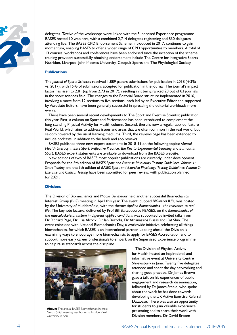

delegates. Twelve of the workshops were linked with the Supervised Experience programme. BASES hosted 10 webinars, with a combined 2,714 delegates registering and 830 delegates attending live. The BASES CPD Endorsement Scheme, introduced in 2017, continues to gain momentum, enabling BASES to offer a wider range of CPD opportunities to members. A total of 13 courses, workshops and conferences have been endorsed since the inception of the scheme; training providers successfully obtaining endorsement include The Centre for Integrative Sports Nutrition, Liverpool John Moores University, Catapult Sports and The Physiological Society.

### **Publications**

The *Journal of Sports Sciences* received 1,889 papers submissions for publication in 2018 (+3% vs. 2017), with 15% of submissions accepted for publication in the journal. The journal's impact factor has risen to 2.81 (up from 2.73 in 2017), resulting in it being ranked 20 out of 83 journals in the sport sciences field. The changes to the Editorial Board structure implemented in 2016, involving a move from 12 sections to five sections, each led by an Executive Editor and supported by Associate Editors, have been generally successful in spreading the editorial workloads more evenly.

There have been several recent developments to The Sport and Exercise Scientist publication this year. First, a column on Sport and Performance has been introduced to complement the long-standing Physical Activity for Health column. Second, there is now a regular applied feature Real World, which aims to address issues and areas that are often common in the real world, but seldom covered by the usual learning mediums. Third, the reviews page has been extended to include podcasts, in addition to the book and app reviews.

BASES published three new expert statements in 2018-19 on the following topics: *Mental Health Literacy in Elite Sport, Reflective Practice: the Key to Experimental Learning* and *Burnout in Sport*. BASES expert statements are available to download from the BASES website.

New editions of two of BASES most popular publications are currently under development. Proposals for the 5th edition of *BASES Sport and Exercise Physiology Testing Guidelines Volume 1: Sport Testing* and the 5th edition of *BASES Sport and Exercise Physiology Testing Guidelines Volume 2: Exercise and Clinical Testing* have been submitted for peer review, with publication planned for 2021.

### **Divisions**

The Division of Biomechanics and Motor Behaviour held another successful Biomechanics Interest Group (BIG) meeting in April this year. The event, dubbed *BIGintheHUD*, was hosted by the University of Huddersfield, with the theme: *Applied Biomechanics - the relevance to real life*. The keynote lecture, delivered by Prof Bill Baltzopoulos FBASES, on the *Biomechanics of the musculoskeletal system in different applied conditions* was supported by invited talks from Dr Richard Page, Dr Lisa Alcock, Dr Ian Bezodis, Dr Athanassios Bissas and Cat Shin. The event coincided with National Biomechanics Day, a worldwide initiative celebrating all things biomechanics, for which BASES is an international partner. Looking ahead, the Division is examining ways to encourage more biomechanists to apply for BASES Accreditation and to support more early career professionals to embark on the Supervised Experience programme, to help raise standards across the discipline.



**Above:** The annual BASES Biomechanics Interest Group (BIG) meeting was hosted at Huddersfield University in April

The Division of Physical Activity for Health hosted an inspirational and informative event at University Centre Shrewsbury in June. Twenty five delegates attended and spent the day networking and sharing good practice. Dr lames Brown gave a talk on his experiences of public engagement and research dissemination, followed by Dr James Steele, who spoke about the work he has done towards developing the UK Active Exercise Referral Database. There was also an opportunity for students to gain valuable experience presenting and to share their work with Division members. Dr David Broom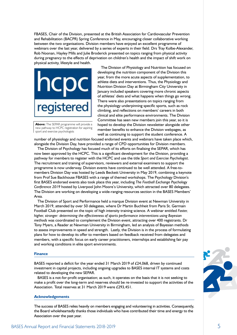FBASES, Chair of the Division, presented at the British Association for Cardiovascular Prevention and Rehabilitation (BACPR) Spring Conference in May, encouraging closer collaborative working between the two organisations. Division members have enjoyed an excellent programme of webinars over the last year, delivered by a series of experts in their field. Drs Tray Kolbe-Alexander, Rob Noonan, Hayley Mills and Julie Broderick presented on topics ranging from physical activity during pregnancy to the effects of deprivation on children's health and the impact of shift work on physical activity, lifestyle and health.



**Above:** The SEPAR programme will provide a new pathway to HCPC registration for aspiring sport and exercise psychologists

The Division of Physiology and Nutrition has focused on developing the nutrition component of the Division this year, from the more acute aspects of supplementation, to athlete diets and interventions. Thus, the Physiology and Nutrition Division Day at Birmingham City University in January included speakers covering more chronic aspects of athletes' diets and what happens when things go wrong. There were also presentations on topics ranging from the physiology underpinning specific sports, such as rock climbing, and reflections on members' careers in both clinical and elite performance environments. The Division Committee has seen new members join this year, so it is hoped to develop the Division newsletter alongside other member benefits to enhance the Division webpages, as well as continuing to support the student conference. A

number of physiology and nutrition focused endorsed events and webinars have taken place which, alongside the Division Day, have provided a range of CPD opportunities for Division members.

The Division of Psychology has focused much of its efforts on finalising the SEPAR, which has now been approved by the HCPC. This is a significant development for the Division, providing a pathway for members to register with the HCPC and use the title *Sport and Exercise Psychologist*. The recruitment and training of supervisors, reviewers and external examiners to support the programme is now underway. Division events have continued to be well attended. A free-tomembers Division Day was hosted by Leeds Beckett University in May 2019, combining a keynote from Prof Sue Backhouse FBASES with a range of themed workshops. The Psychology Division's first BASES endorsed events also took place this year, including *The Football Exchange Psychology Conference 2019* hosted by Liverpool John Moore's University, which attracted over 80 delegates. The Division are working on developing a wide-ranging resources section in the BASES Members' Area.

The Division of Sport and Performance held a marque Division event at Newman University in March 2019, attended by over 50 delegates, where Dr Martin Buchheit from Paris St. Germain Football Club presented on the topic of high intensity training science. A webinar entitled *Faster, higher, stronger: determining the effectiveness of sports performance interventions using Bayesian methods* was coordinated to complement the Division event, attracting over 400 registrants. Dr Tony Myers, a Reader at Newman University in Birmingham, led an analysis of Bayesian methods to assess improvements in speed and strength. Lastly, the Division is in the process of formulating plans for how to develop its offer to members based on feedback received from delegates and members, with a specific focus on early career practitioners, internships and establishing fair pay and working conditions in elite sport environments.

#### **Finance**

BASES reported a deficit for the year ended 31 March 2019 of £24,068, driven by continued investment in capital projects, including ongoing upgrades to BASES internal IT systems and costs related to developing the new SEPAR.

BASES is a not-for-profit organisation; as such, it operates on the basis that it is not seeking to make a profit over the long-term and reserves should be re-invested to support the activities of the Association. Total reserves at 31 March 2019 were £293,451.

#### **Acknowledgements**

The success of BASES relies heavily on members engaging and volunteering in activities. Consequently, the Board wholeheartedly thanks those individuals who have contributed their time and energy to the Association over the past year.

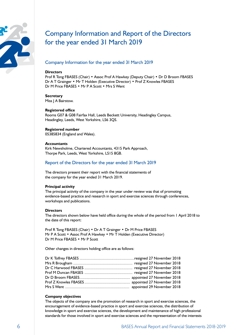

## Company Information and Report of the Directors for the year ended 31 March 2019

## Company Information for the year ended 31 March 2019

## **Directors**

Prof R Tong FBASES (Chair) • Assoc Prof A Hawkey (Deputy Chair) • Dr D Broom FBASES Dr A T Grainger • Mr T Holden (Executive Director) • Prof Z Knowles FBASES Dr M Price FBASES • Mr P A Scott • Mrs S Went

### **Secretary**

Miss J A Bairstow.

## **Registered office**

Rooms G07 & G08 Fairfax Hall, Leeds Beckett University, Headingley Campus, Headingley, Leeds, West Yorkshire, LS6 3QS.

## **Registered number**

05385834 (England and Wales).

## **Accountants**

Kirk Newsholme, Chartered Accountants, 4315 Park Approach, Thorpe Park, Leeds, West Yorkshire, LS15 8GB.

## Report of the Directors for the year ended 31 March 2019

The directors present their report with the financial statements of the company for the year ended 31 March 2019.

## **Principal activity**

The principal activity of the company in the year under review was that of promoting evidence-based practice and research in sport and exercise sciences through conferences, workshops and publications.

## **Directors**

The directors shown below have held office during the whole of the period from 1 April 2018 to the date of this report:

Prof R Tong FBASES (Chair) • Dr A T Grainger • Dr M Price FBASES Mr P A Scott • Assoc Prof A Hawkey • Mr T Holden (Executive Director) Dr M Price FBASES • Mr P Scott

Other changes in directors holding office are as follows:

## **Company objectives**

The objects of the company are the promotion of research in sport and exercise sciences, the encouragement of evidence-based practice in sport and exercise sciences, the distribution of knowledge in sport and exercise sciences, the development and maintenance of high professional standards for those involved in sport and exercise sciences and the representation of the interests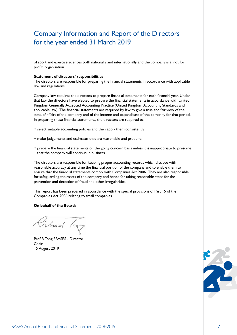## Company Information and Report of the Directors for the year ended 31 March 2019

of sport and exercise sciences both nationally and internationally and the company is a 'not for profit' organisation.

### **Statement of directors' responsibilities**

The directors are responsible for preparing the financial statements in accordance with applicable law and regulations.

Company law requires the directors to prepare financial statements for each financial year. Under that law the directors have elected to prepare the financial statements in accordance with United Kingdom Generally Accepted Accounting Practice (United Kingdom Accounting Standards and applicable law). The financial statements are required by law to give a true and fair view of the state of affairs of the company and of the income and expenditure of the company for that period. In preparing these financial statements, the directors are required to:

- select suitable accounting policies and then apply them consistently;
- make judgements and estimates that are reasonable and prudent;
- prepare the financial statements on the going concern basis unless it is inappropriate to presume that the company will continue in business.

The directors are responsible for keeping proper accounting records which disclose with reasonable accuracy at any time the financial position of the company and to enable them to ensure that the financial statements comply with Companies Act 2006. They are also responsible for safeguarding the assets of the company and hence for taking reasonable steps for the prevention and detection of fraud and other irregularities.

This report has been prepared in accordance with the special provisions of Part 15 of the Companies Act 2006 relating to small companies.

### **On behalf of the Board:**

Pichad

Prof R Tong FBASES - Director Chair 15 August 2019

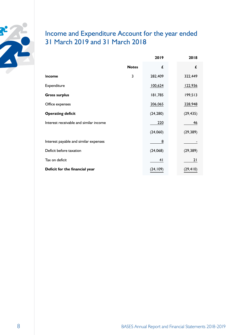

## Income and Expenditure Account for the year ended 31 March 2019 and 31 March 2018

|                                        |              | 2019      | 2018      |
|----------------------------------------|--------------|-----------|-----------|
|                                        | <b>Notes</b> | £         | £         |
| Income                                 | 3            | 282,409   | 322,449   |
| Expenditure                            |              | 100,624   | 122,936   |
| <b>Gross surplus</b>                   |              | 181,785   | 199,513   |
| Office expenses                        |              | 206,065   | 228,948   |
| <b>Operating deficit</b>               |              | (24, 280) | (29, 435) |
| Interest receivable and similar income |              | 220       | 46        |
|                                        |              | (24,060)  | (29, 389) |
| Interest payable and similar expenses  |              | 8         |           |
| Deficit before taxation                |              | (24,068)  | (29, 389) |
| Tax on deficit                         |              | 41        | 21        |
| Deficit for the financial year         |              | (24, 109) | (29, 410) |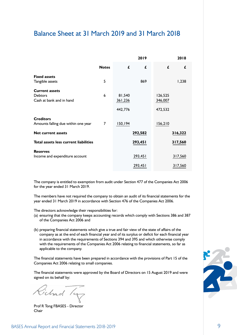## Balance Sheet at 31 March 2019 and 31 March 2018

|                                       |              |         | 2019    |         | 2018    |
|---------------------------------------|--------------|---------|---------|---------|---------|
|                                       | <b>Notes</b> | £       | £       | £       | £       |
| <b>Fixed assets</b>                   |              |         |         |         |         |
| Tangible assets                       | 5            |         | 869     |         | 1,238   |
| <b>Current assets</b>                 |              |         |         |         |         |
| <b>Debtors</b>                        | 6            | 81,540  |         | 126,525 |         |
| Cash at bank and in hand              |              | 361,236 |         | 346,007 |         |
|                                       |              |         |         |         |         |
|                                       |              | 442,776 |         | 472,532 |         |
| <b>Creditors</b>                      |              |         |         |         |         |
| Amounts falling due within one year   | 7            | 150,194 |         | 156,210 |         |
| <b>Net current assets</b>             |              |         | 292,582 |         | 316,322 |
|                                       |              |         |         |         |         |
| Total assets less current liabilities |              |         | 293,451 |         | 317,560 |
| <b>Reserves</b>                       |              |         |         |         |         |
| Income and expenditure account        |              |         | 293,451 |         | 317,560 |
|                                       |              |         | 293,451 |         | 317,560 |

The company is entitled to exemption from audit under Section 477 of the Companies Act 2006 for the year ended 31 March 2019.

The members have not required the company to obtain an audit of its financial statements for the year ended 31 March 2019 in accordance with Section 476 of the Companies Act 2006.

The directors acknowledge their responsibilities for:

- (a) ensuring that the company keeps accounting records which comply with Sections 386 and 387 of the Companies Act 2006 and
- (b) preparing financial statements which give a true and fair view of the state of affairs of the company as at the end of each financial year and of its surplus or deficit for each financial year in accordance with the requirements of Sections 394 and 395 and which otherwise comply with the requirements of the Companies Act 2006 relating to financial statements, so far as applicable to the company.

The financial statements have been prepared in accordance with the provisions of Part 15 of the Companies Act 2006 relating to small companies.

The financial statements were approved by the Board of Directors on 15 August 2019 and were signed on its behalf by:

Fichad /4

Prof R Tong FBASES - Director Chair

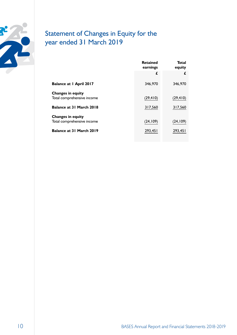

## Statement of Changes in Equity for the year ended 31 March 2019

|                                | <b>Retained</b><br>earnings | Total<br>equity |
|--------------------------------|-----------------------------|-----------------|
|                                | £                           | £               |
| <b>Balance at I April 2017</b> | 346,970                     | 346,970         |
| <b>Changes in equity</b>       |                             |                 |
| Total comprehensive income     | (29, 410)                   | (29, 410)       |
| Balance at 31 March 2018       | 317,560                     | 317,560         |
| <b>Changes in equity</b>       |                             |                 |
| Total comprehensive income     | (24, 109)                   | (24, 109)       |
| Balance at 31 March 2019       | 293,451                     | 293,451         |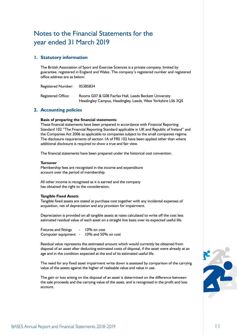## Notes to the Financial Statements for the year ended 31 March 2019

## **1. Statutory information**

The British Association of Sport and Exercise Sciences is a private company, limited by guarantee, registered in England and Wales. The company's registered number and registered office address are as below:

Registered Number: 05385834

Registered Office: Rooms G07 & G08 Fairfax Hall, Leeds Beckett University Headingley Campus, Headingley, Leeds, West Yorkshire LS6 3QS

## **2. Accounting policies**

## **Basis of preparing the financial statements**

These financial statements have been prepared in accordance with Financial Reporting Standard 102 "The Financial Reporting Standard applicable in UK and Republic of Ireland" and the Companies Act 2006 as applicable to companies subject to the small companies regime. The disclosure requirements of section 1A of FRS 102 have been applied other than where additional disclosure is required to show a true and fair view.

The financial statements have been prepared under the historical cost convention.

## **Turnover**

Membership fees are recognised in the income and expenditure account over the period of membership.

All other income is recognised as it is earned and the company has obtained the right to the consideration.

## **Tangible Fixed Assets**

Tangible fixed assets are stated at purchase cost together with any incidental expenses of acquisition, net of depreciation and any provision for impairment.

Depreciation is provided on all tangible assets at rates calculated to write off the cost less estimated residual value of each asset on a straight line basis over its expected useful life.

| Fixtures and fittings | $\overline{\phantom{0}}$ | 10% on cost            |
|-----------------------|--------------------------|------------------------|
| Computer equipment    |                          | $10\%$ and 50% on cost |

Residual value represents the estimated amount which would currently be obtained from disposal of an asset after deducting estimated costs of disposal, if the asset were already at an age and in the condition expected at the end of its estimated useful life.

The need for any fixed asset impairment write down is assessed by comparison of the carrying value of the assets against the higher of realisable value and value in use.

The gain or loss arising on the disposal of an asset is determined on the difference between the sale proceeds and the carrying value of the asset, and is recognised in the profit and loss account.

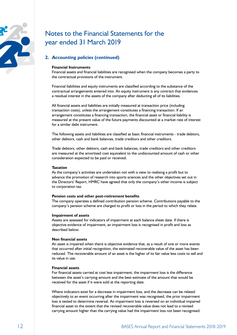

## Notes to the Financial Statements for the year ended 31 March 2019

## **2. Accounting policies (continued)**

## **Financial Instruments**

Financial assets and financial liabilities are recognised when the company becomes a party to the contractual provisions of the instrument.

Financial liabilities and equity instruments are classified according to the substance of the contractual arrangements entered into. An equity instrument is any contract that evidences a residual interest in the assets of the company after deducting all of its liabilities.

All financial assets and liabilities are initially measured at transaction price (including transaction costs), unless the arrangement constitutes a financing transaction. If an arrangement constitutes a financing transaction, the financial asset or financial liability is measured at the present value of the future payments discounted at a market rate of interest for a similar debt instrument.

The following assets and liabilities are classified as basic financial instruments - trade debtors, other debtors, cash and bank balances, trade creditors and other creditors.

Trade debtors, other debtors, cash and bank balances, trade creditors and other creditors are measured at the amortised cost equivalent to the undiscounted amount of cash or other consideration expected to be paid or received.

### **Taxation**

As the company's activities are undertaken not with a view to realising a profit but to advance the promotion of research into sports sciences and the other objectives set out in the Directors' Report, HMRC have agreed that only the company's other income is subject to corporation tax.

### **Pension costs and other post-retirement benefits**

The company operates a defined contribution pension scheme. Contributions payable to the company's pension scheme are charged to profit or loss in the period to which they relate.

### **Impairment of assets**

Assets are assessed for indicators of impairment at each balance sheet date. If there is objective evidence of impairment, an impairment loss is recognised in profit and loss as described below.

## **Non financial assets**

An asset is impaired when there is objective evidence that, as a result of one or more events that occurred after initial recognition, the estimated recoverable value of the asset has been reduced. The recoverable amount of an asset is the higher of its fair value less costs to sell and its value in use.

## **Financial assets**

For financial assets carried at cost less impairment, the impairment loss is the difference between the asset's carrying amount and the best estimate of the amount that would be received for the asset if it were sold at the reporting date.

Where indicators exist for a decrease in impairment loss, and the decrease can be related objectively to an event occurring after the impairment was recognised, the prior impairment loss is tested to determine reversal. An impairment loss is reversed on an individual impaired financial asset to the extent that the revised recoverable value does not lead to a revised carrying amount higher than the carrying value had the impairment loss not been recognised.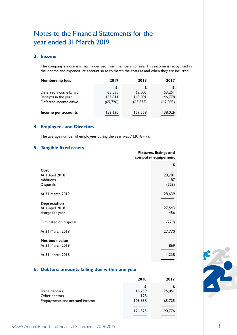## Notes to the Financial Statements for the year ended 31 March 2019

## **3. Income**

The company's income is mainly derived from membership fees. This income is recognised in the income and expenditure account so as to match the costs as and when they are incurred.

| <b>Membership fees</b> | 2019      | 2018      | 2017     |
|------------------------|-----------|-----------|----------|
|                        |           |           |          |
| Deferred income b/fwd  | 65,535    | 62,003    | 53,251   |
| Receipts in the year   | 153,811   | 163,091   | 146,778  |
| Deferred income c/fwd  | (65, 726) | (65, 535) | (62,003) |
| Income per accounts    | 153,620   | 159,559   | 138,026  |

## **4. Employees and Directors**

The average number of employees during the year was 7 (2018 - 7).

## **5. Tangible fixed assets**

| £<br>Cost<br>28,781<br>At I April 2018<br><b>Additions</b><br>87<br>(229)<br><b>Disposals</b><br>At 31 March 2019<br>28,639<br><b>Depreciation</b><br>At I April 2018<br>27,543<br>456<br>charge for year<br>(229)<br>Eliminated on disposal<br>At 31 March 2019<br>27,770<br><b>Net book value</b><br>At 31 March 2019<br>869<br>At 31 March 2018<br>1,238 | $\bullet$ | <b>Fixtures, fittings and</b><br>computer equipement |  |
|-------------------------------------------------------------------------------------------------------------------------------------------------------------------------------------------------------------------------------------------------------------------------------------------------------------------------------------------------------------|-----------|------------------------------------------------------|--|
|                                                                                                                                                                                                                                                                                                                                                             |           |                                                      |  |
|                                                                                                                                                                                                                                                                                                                                                             |           |                                                      |  |
|                                                                                                                                                                                                                                                                                                                                                             |           |                                                      |  |
|                                                                                                                                                                                                                                                                                                                                                             |           |                                                      |  |
|                                                                                                                                                                                                                                                                                                                                                             |           |                                                      |  |
|                                                                                                                                                                                                                                                                                                                                                             |           |                                                      |  |
|                                                                                                                                                                                                                                                                                                                                                             |           |                                                      |  |
|                                                                                                                                                                                                                                                                                                                                                             |           |                                                      |  |
|                                                                                                                                                                                                                                                                                                                                                             |           |                                                      |  |
|                                                                                                                                                                                                                                                                                                                                                             |           |                                                      |  |
|                                                                                                                                                                                                                                                                                                                                                             |           |                                                      |  |
|                                                                                                                                                                                                                                                                                                                                                             |           |                                                      |  |
|                                                                                                                                                                                                                                                                                                                                                             |           |                                                      |  |
|                                                                                                                                                                                                                                                                                                                                                             |           |                                                      |  |

## **6. Debtors: amounts falling due within one year**

|                                | 2018    | 2017   |
|--------------------------------|---------|--------|
|                                | £       |        |
| Trade debtors                  | 16,759  | 25,051 |
| Other debtors                  | 128     |        |
| Prepayments and accrued income | 109,638 | 65,725 |
|                                | 126,525 | 90,776 |

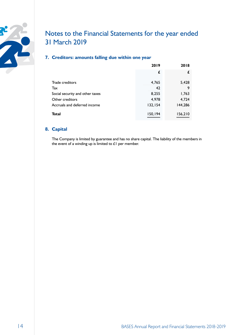

## Notes to the Financial Statements for the year ended 31 March 2019

## **7. Creditors: amounts falling due within one year**

|                                 | 2019     | 2018    |
|---------------------------------|----------|---------|
|                                 | £        | £       |
| Trade creditors                 | 4,765    | 5,428   |
| Tax                             | 42       | 9       |
| Social security and other taxes | 8,255    | 1,763   |
| Other creditors                 | 4,978    | 4,724   |
| Accruals and deferred income    | 132, 154 | 144,286 |
| Total                           | 150,194  | 156,210 |

## **8. Capital**

The Company is limited by guarantee and has no share capital. The liability of the members in the event of a winding up is limited to  $L1$  per member.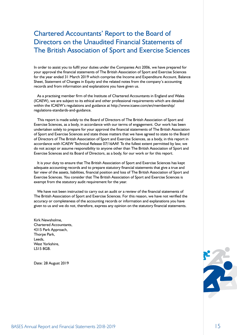## Chartered Accountants' Report to the Board of Directors on the Unaudited Financial Statements of The British Association of Sport and Exercise Sciences

In order to assist you to fulfil your duties under the Companies Act 2006, we have prepared for your approval the financial statements of The British Association of Sport and Exercise Sciences for the year ended 31 March 2019 which comprise the Income and Expenditure Account, Balance Sheet, Statement of Changes in Equity and the related notes from the company's accounting records and from information and explanations you have given us.

As a practising member firm of the Institute of Chartered Accountants in England and Wales (ICAEW), we are subject to its ethical and other professional requirements which are detailed within the ICAEW's regulations and guidance at http://www.icaew.com/en/membership/ regulations-standards-and-guidance.

This report is made solely to the Board of Directors of The British Association of Sport and Exercise Sciences, as a body, in accordance with our terms of engagement. Our work has been undertaken solely to prepare for your approval the financial statements of The British Association of Sport and Exercise Sciences and state those matters that we have agreed to state to the Board of Directors of The British Association of Sport and Exercise Sciences, as a body, in this report in accordance with ICAEW Technical Release 07/16AAF. To the fullest extent permitted by law, we do not accept or assume responsibility to anyone other than The British Association of Sport and Exercise Sciences and its Board of Directors, as a body, for our work or for this report.

It is your duty to ensure that The British Association of Sport and Exercise Sciences has kept adequate accounting records and to prepare statutory financial statements that give a true and fair view of the assets, liabilities, financial position and loss of The British Association of Sport and Exercise Sciences. You consider that The British Association of Sport and Exercise Sciences is exempt from the statutory audit requirement for the year.

We have not been instructed to carry out an audit or a review of the financial statements of The British Association of Sport and Exercise Sciences. For this reason, we have not verified the accuracy or completeness of the accounting records or information and explanations you have given to us and we do not, therefore, express any opinion on the statutory financial statements.

Kirk Newsholme, Chartered Accountants, 4315 Park Approach, Thorpe Park, Leeds, West Yorkshire. LS15 8GB.

Date: 28 August 2019

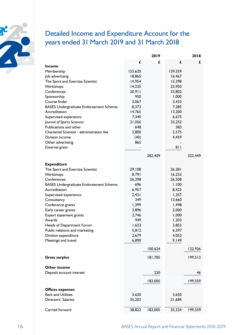

## Detailed Income and Expenditure Account for the years ended 31 March 2019 and 31 March 2018

|                                               | 2019    |         | 2018    |         |
|-----------------------------------------------|---------|---------|---------|---------|
|                                               | £       | £       | £       | £       |
| <b>Income</b>                                 |         |         |         |         |
| Membership                                    | 153,620 |         | 159,559 |         |
| Job advertising                               | 18,865  |         | 16,467  |         |
| The Sport and Exercise Scientist              | 14,954  |         | 15,398  |         |
| Workshops                                     | 14,235  |         | 23,950  |         |
| Conferences                                   | 20,911  |         | 33,802  |         |
| Sponsorship                                   | 950     |         | 1,000   |         |
| Course finder                                 | 3,067   |         | 3,433   |         |
| <b>BASES Undergraduate Endorsement Scheme</b> | 8,373   |         | 7,285   |         |
| Accreditation                                 | 14,765  |         | 13,200  |         |
| Supervised experience                         | 7,340   |         | 6,675   |         |
| Journal of Sports Sciences                    | 21,056  |         | 33,252  |         |
| Publications and other                        | 648     |         | 583     |         |
| Chartered Scientist - administration fee      | 2,800   |         | 2,575   |         |
| Division income                               | (40)    |         | 4,459   |         |
| Other advertising                             | 865     |         |         |         |
| External grant                                |         |         | 811     |         |
|                                               |         | 282,409 |         | 322,449 |
|                                               |         |         |         |         |
| <b>Expenditure</b>                            |         |         |         |         |
| The Sport and Exercise Scientist              | 29,108  |         | 26,281  |         |
| Workshops                                     | 8,791   |         | 16,253  |         |
| Conferences                                   | 26,298  |         | 26,508  |         |
| <b>BASES Undergraduate Endorsement Scheme</b> | 696     |         | 1,100   |         |
| Accreditation                                 | 6,957   |         | 8,423   |         |
| Supervised experience                         | 2,431   |         | 1,357   |         |
| Consultancy                                   | 349     |         | 13,660  |         |
| Conference grants                             | 1,399   |         | 1,498   |         |
| Early career grants                           | 3,896   |         | 2,000   |         |
| Expert statement grants                       | 2,746   |         | 1,000   |         |
| Awards                                        | 949     |         | 1,203   |         |
| Heads of Department Forum                     | 1,623   |         | 3,855   |         |
| Public relations and marketing                | 5,812   |         | 6,597   |         |
| Division expenditure                          | 2,679   |         | 4,052   |         |
| Meetings and travel                           | 6,890   |         | 9,149   |         |
|                                               |         |         |         |         |
|                                               |         | 100,624 |         | 122,936 |
| <b>Gross surplus</b>                          |         | 181,785 |         | 199,513 |
|                                               |         |         |         |         |
| <b>Other income</b>                           |         |         |         |         |
| Deposit account interest                      |         | 220     |         | 46      |
|                                               |         | 182,005 |         | 199,559 |
|                                               |         |         |         |         |
| <b>Offices expenses</b>                       |         |         |         |         |
| <b>Rent and Utilities</b>                     | 3,620   |         | 3,650   |         |
| Directors' Salaries                           | 35,202  |         | 31,684  |         |
|                                               |         |         |         |         |
| Carried forward                               | 38,822  | 182,005 | 35,334  | 199,559 |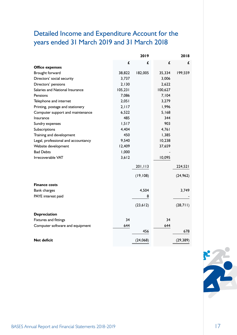## Detailed Income and Expenditure Account for the years ended 31 March 2019 and 31 March 2018

|                                     |         | 2019      |         | 2018      |
|-------------------------------------|---------|-----------|---------|-----------|
|                                     | £       | £         | £       | £         |
| <b>Office expenses</b>              |         |           |         |           |
| Brought forward                     | 38,822  | 182,005   | 35,334  | 199,559   |
| Directors' social security          | 3,737   |           | 3,006   |           |
| Directors' pensions                 | 2,130   |           | 2,622   |           |
| Salaries and National Insurance     | 105,231 |           | 100,627 |           |
| Pensions                            | 7,086   |           | 7,104   |           |
| Telephone and internet              | 2,051   |           | 3,279   |           |
| Printing, postage and stationery    | 2,117   |           | 1,996   |           |
| Computer support and maintenance    | 6,522   |           | 5,168   |           |
| Insurance                           | 485     |           | 344     |           |
| Sundry expenses                     | 1,517   |           | 903     |           |
| Subscriptions                       | 4,404   |           | 4,761   |           |
| Training and development            | 450     |           | 1,385   |           |
| Legal, professional and accountancy | 9,540   |           | 10,238  |           |
| Website development                 | 12,409  |           | 37,659  |           |
| <b>Bad Debts</b>                    | 1,000   |           |         |           |
| Irrecoverable VAT                   | 3,612   |           | 10,095  |           |
|                                     |         |           |         |           |
|                                     |         | 201,113   |         | 224,521   |
|                                     |         | (19, 108) |         | (24, 962) |
| <b>Finance costs</b>                |         |           |         |           |
| <b>Bank charges</b>                 |         | 4,504     |         | 3,749     |
| PAYE interest paid                  |         | 8         |         |           |
|                                     |         | (23, 612) |         | (28,711)  |
| <b>Depreciation</b>                 |         |           |         |           |
| Fixtures and fittings               | 34      |           | 34      |           |
| Computer software and equipment     | 644     |           | 644     |           |
|                                     |         | 456       |         | 678       |
| <b>Net deficit</b>                  |         | (24,068)  |         | (29, 389) |

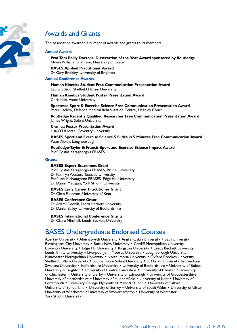

## Awards and Grants

The Association awarded a number of awards and grants to its members.

#### **Annual Awards**

**Prof Tom Reilly Doctoral Dissertation of the Year Award sponsored by Routledge** Owen William Tomlinson, University of Exeter

## **BASES Applied Practitioner Award** Dr Gary Brickley, University of Brighton

### **Annual Conference Awards**

**Human Kinetics Student Free Communication Presentation Award** Laura Judson, Sheffield Hallam University

**Human Kinetics Student Poster Presentation Award** Chris Kite, Aston University

**Sportesse Sport & Exercise Science Free Communication Presentation Award** Peter Ladlow, Defence Medical Rehabilitation Centre, Headley Court

**Routledge Recently Qualified Researcher Free Communication Presentation Award** James Wright, Solent University

**Cranlea Poster Presentation Award** Lisa O'Halloran, Coventry University

**BASES Sport and Exercise Science 5 Slides in 5 Minutes Free Communication Award** Peter Alway, Loughborough

**Routledge/Taylor & Francis Sport and Exercise Science Impact Award** Prof Costas Karageorghis FBASES

#### **Grants**

#### **BASES Expert Statement Grant**

Prof Costas Karageorghis FBASES, Brunel University Dr Kathryn Weston, Teesside University Prof Lars McNaughton FBASES, Edge Hill University Dr Daniel Madigan, York St John University

## **BASES Early Career Practitioner Grant**

Dr Chris Fullerton, University of Kent

#### **BASES Conference Grant**

Dr Adam Gledhill, Leeds Beckett University Dr Daniel Bailey, University of Bedfordshire

**BASES International Conference Grants** Dr Claire Minshull, Leeds Beckett University

## BASES Undergraduate Endorsed Courses

Abertay University • Aberystwyth University • Anglia Ruskin University • Bath University Birmingham City University • Bucks New University • Cardiff Metropolitan University Coventry University • Edge Hill University • Kingston University • Leeds Beckett University Leeds Trinity University • Liverpool John Moores University • Loughborough University Manchester Metropolitan University • Northumbria University • Oxford Brookes University Sheffield Hallam University • Southampton Solent University • St Mary's University Twickenham Swansea University • Staffordshire University • University of Bedfordshire • University of Bolton University of Brighton • University of Central Lancashire • University of Chester • University of Chichester • University of Derby • University of Edinburgh • University of Gloucestershire University of Hertfordshire • University of Huddersfield • University of Kent • University of Portsmouth • University College Plymouth St Mark & St John • University of Salford University of Sunderland • University of Surrey • University of South Wales • University of Ulster University of Winchester • University of Wolverhampton • University of Worcester York St John University.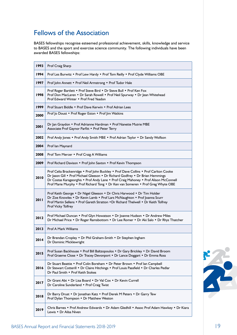## Fellows of the Association

BASES fellowships recognise esteemed professional achievement, skills, knowledge and service to BASES and the sport and exercise science community. The following individuals have been awarded BASES fellowships:

| 1993        | Prof Craig Sharp                                                                                                                                                                                                                                                                                                                                  |
|-------------|---------------------------------------------------------------------------------------------------------------------------------------------------------------------------------------------------------------------------------------------------------------------------------------------------------------------------------------------------|
| 1994        | Prof Les Burwitz . Prof Lew Hardy . Prof Tom Reilly . Prof Clyde Williams OBE                                                                                                                                                                                                                                                                     |
| 1997        | Prof John Annett . Prof Neil Armstrong . Prof Tudor Hale                                                                                                                                                                                                                                                                                          |
| 1998        | Prof Roger Bartlett . Prof Steve Bird . Dr Steve Bull . Prof Ken Fox<br>Prof Don MacLaren • Dr Sarah Rowell • Prof Neil Spurway • Dr Jean Whitehead<br>Prof Edward Winter . Prof Fred Yeadon                                                                                                                                                      |
| 1999        | Prof Stuart Biddle • Prof Dave Kerwin • Prof Adrian Lees                                                                                                                                                                                                                                                                                          |
| 2000        | Prof Jo Doust . Prof Roger Eston . Prof Jim Watkins                                                                                                                                                                                                                                                                                               |
| <b>2001</b> | Dr Jan Graydon • Prof Adrianne Hardman • Prof Nanette Mutrie MBE<br>Associate Prof Gaynor Parfitt . Prof Peter Terry                                                                                                                                                                                                                              |
| 2002        | Prof Andy Jones • Prof Andy Smith MBE • Prof Adrian Taylor • Dr Sandy Wolfson                                                                                                                                                                                                                                                                     |
| 2004        | Prof lan Maynard                                                                                                                                                                                                                                                                                                                                  |
| 2008        | Prof Tom Mercer • Prof Craig A Williams                                                                                                                                                                                                                                                                                                           |
| 2009        | Prof Richard Davison • Prof John Saxton • Prof Kevin Thompson                                                                                                                                                                                                                                                                                     |
| 2010        | Prof Celia Brackenridge . Prof John Buckley . Prof Dave Collins . Prof Carlton Cooke<br>Dr Jason Gill . Prof Michael Gleeson . Dr Richard Godfrey . Dr Brian Hemmings<br>Dr Costas Karageorghis • Prof Andy Lane • Prof Craig Mahoney • Prof Alison McConnell<br>Prof Marie Murphy . Prof Richard Tong . Dr Ken van Someren . Prof Greg Whyte OBE |
| 2011        | Prof Keith George . Dr Nigel Gleeson . Dr Chris Harwood . Dr Tim Holder<br>Dr Zoe Knowles • Dr Kevin Lamb • Prof Lars McNaughton • Prof Joanna Scurr<br>Prof Martin Sellens . Prof Gareth Stratton . Dr Richard Thelwell . Dr Keith Tolfrey<br>Prof Vicky Tolfrey                                                                                 |
| 2012        | Prof Michael Duncan • Prof Glyn Howatson • Dr Joanne Hudson • Dr Andrew Miles<br>Dr Michael Price • Dr Roger Ramsbottom • Dr Lee Romer • Dr Aki Salo • Dr Rhys Thatcher                                                                                                                                                                           |
| 2013        | Prof A Mark Williams                                                                                                                                                                                                                                                                                                                              |
| 2014        | Dr Brendan Cropley • Dr Phil Graham-Smith • Dr Stephen Ingham<br>Dr Dominic Micklewright                                                                                                                                                                                                                                                          |
| 2015        | Prof Susan Backhouse • Prof Bill Baltzopoulos • Dr Gary Brickley • Dr David Broom<br>Prof Graeme Close . Dr Tracey Devonport . Dr Lance Doggart . Dr Emma Ross                                                                                                                                                                                    |
| 2016        | Dr Stuart Beattie • Prof Colin Boreham • Dr Peter Brown • Prof lan Campbell<br>Dr Stewart Cotterill . Dr Claire Hitchings . Prof Louis Passfield . Dr Charles Pedlar<br>Dr Paul Smith • Prof Keith Stokes                                                                                                                                         |
| 2017        | Dr Grant Abt • Dr Lisa Board • Dr Val Cox • Dr Kevin Currell<br>Dr Caroline Sunderland • Prof Craig Twist                                                                                                                                                                                                                                         |
| 2018        | Dr Barry Drust • Dr Jonathan Katz • Prof Derek M Peters • Dr Garry Tew<br>Prof Dylan Thompson • Dr Matthew Weston                                                                                                                                                                                                                                 |
| 2019        | Chris Barnes • Prof Andrew Edwards • Dr Adam Gledhill • Assoc Prof Adam Hawkey • Dr Kiara<br>Lewis • Dr Ailsa Niven                                                                                                                                                                                                                               |

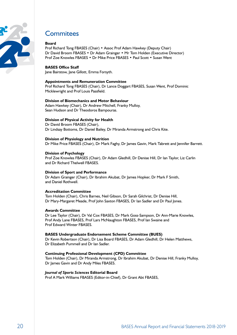

## **Commitees**

## **Board**

Prof Richard Tong FBASES (Chair) • Assoc Prof Adam Hawkey (Deputy Chair) Dr David Broom FBASES • Dr Adam Grainger • Mr Tom Holden (Executive Director) Prof Zoe Knowles FBASES • Dr Mike Price FBASES • Paul Scott • Susan Went

## **BASES Office Staff**

Jane Bairstow, Jane Gillott, Emma Forsyth.

## **Appointments and Remuneration Committee**

Prof Richard Tong FBASES (Chair), Dr Lance Doggart FBASES, Susan Went, Prof Dominic Micklewright and Prof Louis Passfield.

## **Division of Biomechanics and Motor Behaviour**

Adam Hawkey (Chair), Dr Andrew Mitchell, Franky Mulloy, Sean Hudson and Dr Theodoros Bampouras.

## **Division of Physical Activity for Health**

Dr David Broom FBASES (Chair), Dr Lindsay Bottoms, Dr Daniel Bailey, Dr Miranda Armstrong and Chris Kite.

## **Division of Physiology and Nutrition**

Dr Mike Price FBASES (Chair), Dr Mark Faghy, Dr James Gavin, Mark Tabrett and Jennifer Barrett.

### **Division of Psychology**

Prof Zoe Knowles FBASES (Chair), Dr Adam Gledhill, Dr Denise Hill, Dr Ian Taylor, Liz Carlin and Dr Richard Thelwell FBASES.

### **Division of Sport and Performance**

Dr Adam Grainger (Chair), Dr Ibrahim Akubat, Dr James Hopker, Dr Mark F Smith, and Daniel Rothwell.

## **Accreditation Committee**

Tom Holden (Chair), Chris Barnes, Neil Gibson, Dr Sarah Gilchrist, Dr Denise Hill, Dr Mary-Margaret Meade, Prof John Saxton FBASES, Dr Ian Sadler and Dr Paul Jones.

### **Awards Committee**

Dr Lee Taylor (Chair), Dr Val Cox FBASES, Dr Mark Goss-Sampson, Dr Ann-Marie Knowles, Prof Andy Lane FBASES, Prof Lars McNaughton FBASES, Prof Ian Swaine and Prof Edward Winter FBASES.

### **BASES Undergraduate Endorsement Scheme Committee (BUES)**

Dr Kevin Robertson (Chair), Dr Lisa Board FBASES, Dr Adam Gledhill, Dr Helen Matthews, Dr Elizabeth Pummell and Dr Ian Sadler.

### **Continuing Professional Development (CPD) Committee**

Tom Holden (Chair), Dr Miranda Armstrong, Dr Ibrahim Akubat, Dr Denise Hill, Franky Mulloy, Dr James Gavin and Dr Andy Miles FBASES.

## *Journal of Sports Sciences* **Editorial Board**

Prof A Mark Williams FBASES (Editor-in-Chief), Dr Grant Abt FBASES,